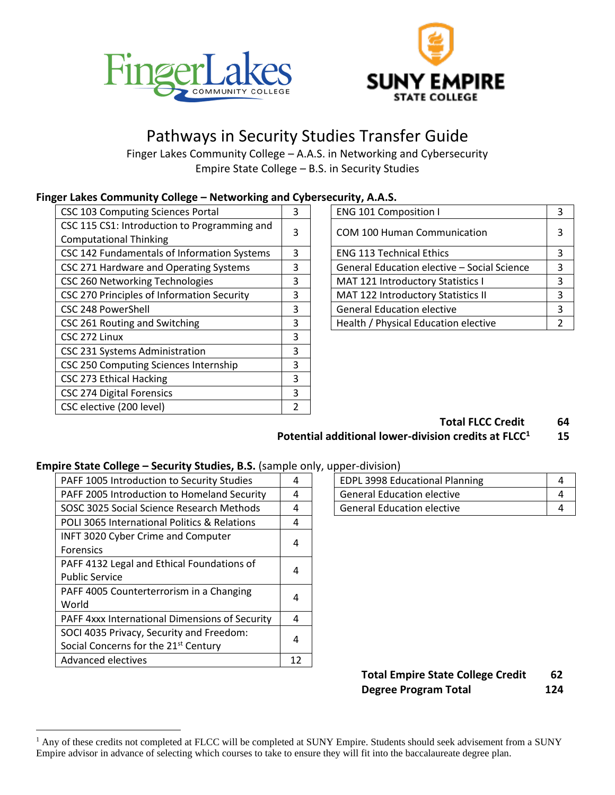



# Pathways in Security Studies Transfer Guide

Finger Lakes Community College – A.A.S. in Networking and Cybersecurity Empire State College – B.S. in Security Studies

#### **Finger Lakes Community College – Networking and Cybersecurity, A.A.S.**

| 3 | <b>ENG 101 Composition I</b>                |   |
|---|---------------------------------------------|---|
| 3 | <b>COM 100 Human Communication</b>          | 3 |
| 3 | <b>ENG 113 Technical Ethics</b>             | 3 |
| 3 | General Education elective - Social Science | 3 |
| 3 | MAT 121 Introductory Statistics I           | 3 |
| 3 | <b>MAT 122 Introductory Statistics II</b>   |   |
| 3 | <b>General Education elective</b>           |   |
| 3 | Health / Physical Education elective        | 2 |
| 3 |                                             |   |
| 3 |                                             |   |
| 3 |                                             |   |
| 3 |                                             |   |
| 3 |                                             |   |
| 2 |                                             |   |
|   |                                             |   |

| <b>ENG 101 Composition I</b>                | 3             |
|---------------------------------------------|---------------|
| <b>COM 100 Human Communication</b>          | 3             |
| <b>ENG 113 Technical Ethics</b>             | 3             |
| General Education elective - Social Science | 3             |
| MAT 121 Introductory Statistics I           | 3             |
| MAT 122 Introductory Statistics II          | 3             |
| <b>General Education elective</b>           | 3             |
| Health / Physical Education elective        | $\mathcal{P}$ |

#### **Total FLCC Credit 64**

#### **Potential additional lower-division credits at FLCC<sup>1</sup> 15**

#### **Empire State College – Security Studies, B.S.** (sample only, upper-division)

| PAFF 1005 Introduction to Security Studies       | 4  | <b>EDPL 3998 Educational Planning</b> | 4 |  |  |
|--------------------------------------------------|----|---------------------------------------|---|--|--|
| PAFF 2005 Introduction to Homeland Security      | 4  | <b>General Education elective</b>     | 4 |  |  |
| SOSC 3025 Social Science Research Methods        | 4  | <b>General Education elective</b>     | 4 |  |  |
| POLI 3065 International Politics & Relations     | 4  |                                       |   |  |  |
| INFT 3020 Cyber Crime and Computer               | 4  |                                       |   |  |  |
| <b>Forensics</b>                                 |    |                                       |   |  |  |
| PAFF 4132 Legal and Ethical Foundations of       | 4  |                                       |   |  |  |
| <b>Public Service</b>                            |    |                                       |   |  |  |
| PAFF 4005 Counterterrorism in a Changing         | 4  |                                       |   |  |  |
| World                                            |    |                                       |   |  |  |
| PAFF 4xxx International Dimensions of Security   | 4  |                                       |   |  |  |
| SOCI 4035 Privacy, Security and Freedom:         | 4  |                                       |   |  |  |
| Social Concerns for the 21 <sup>st</sup> Century |    |                                       |   |  |  |
| Advanced electives                               | 12 |                                       |   |  |  |

| <b>EDPL 3998 Educational Planning</b> |  |
|---------------------------------------|--|
| <b>General Education elective</b>     |  |
| <b>General Education elective</b>     |  |

### **Total Empire State College Credit 62 Degree Program Total 124**

<sup>&</sup>lt;sup>1</sup> Any of these credits not completed at FLCC will be completed at SUNY Empire. Students should seek advisement from a SUNY Empire advisor in advance of selecting which courses to take to ensure they will fit into the baccalaureate degree plan.